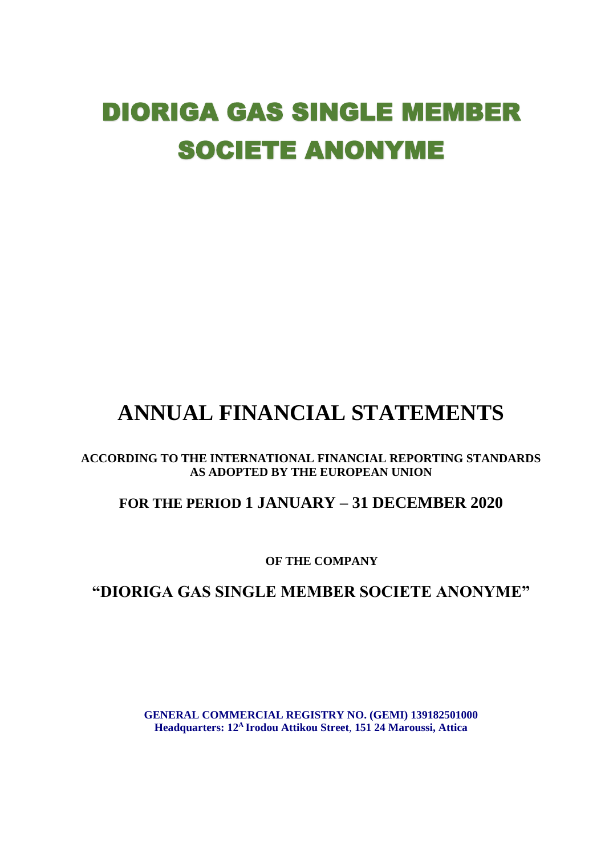# DIORIGA GAS SINGLE MEMBER SOCIETE ANONYME

# **ANNUAL FINANCIAL STATEMENTS**

#### **ACCORDING TO THE INTERNATIONAL FINANCIAL REPORTING STANDARDS AS ADOPTED BY THE EUROPEAN UNION**

# **FOR THE PERIOD 1 JANUARY – 31 DECEMBER 2020**

**OF THE COMPANY**

# **"DIORIGA GAS SINGLE MEMBER SOCIETE ANONYME"**

**GENERAL COMMERCIAL REGISTRY NO. (GEMI) 139182501000 Headquarters: 12A Irodou Attikou Street**, **151 24 Maroussi, Attica**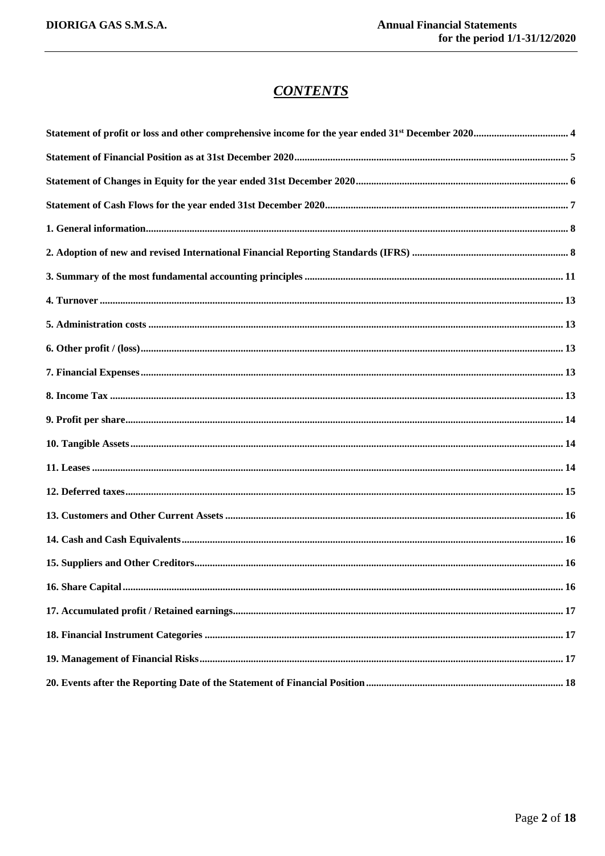# **CONTENTS**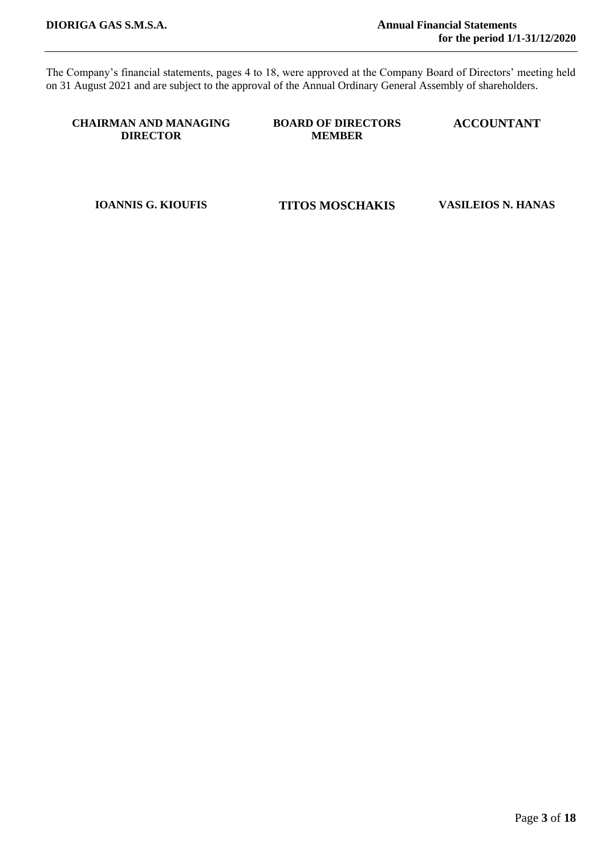The Company's financial statements, pages 4 to 18, were approved at the Company Board of Directors' meeting held on 31 August 2021 and are subject to the approval of the Annual Ordinary General Assembly of shareholders.

#### **CHAIRMAN AND MANAGING DIRECTOR**

**BOARD OF DIRECTORS MEMBER** 

**ACCOUNTANT**

**IOANNIS G. KIOUFIS TITOS MOSCHAKIS VASILEIOS N. HANAS**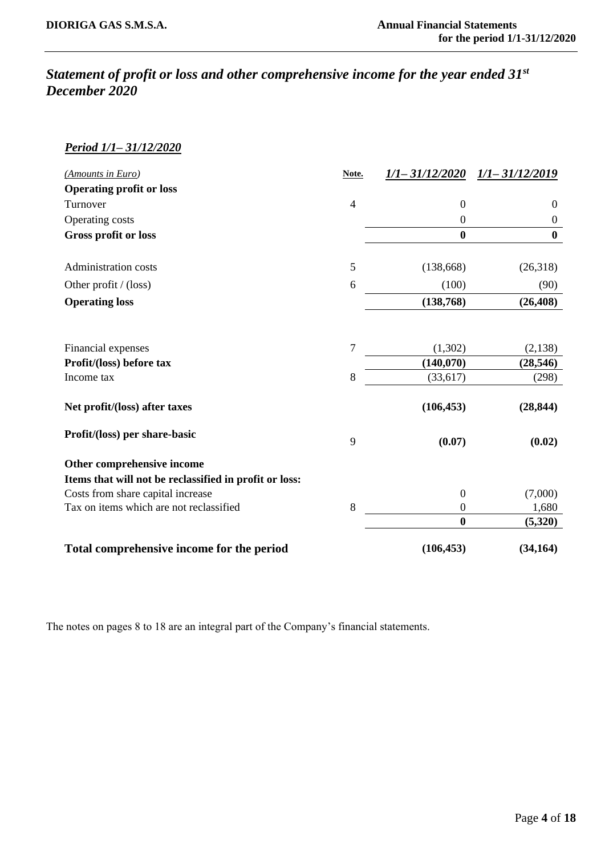# <span id="page-3-0"></span>*Statement of profit or loss and other comprehensive income for the year ended 31st December 2020*

#### *Period 1/1– 31/12/2020*

<span id="page-3-1"></span>

| (Amounts in Euro)                                      | Note.          | $1/1 - 31/12/2020$ | $1/1 - 31/12/2019$ |
|--------------------------------------------------------|----------------|--------------------|--------------------|
| <b>Operating profit or loss</b>                        |                |                    |                    |
| Turnover                                               | $\overline{4}$ | $\overline{0}$     | $\overline{0}$     |
| Operating costs                                        |                | $\overline{0}$     | $\mathbf{0}$       |
| <b>Gross profit or loss</b>                            |                | $\boldsymbol{0}$   | $\boldsymbol{0}$   |
|                                                        |                |                    |                    |
| Administration costs                                   | 5              | (138, 668)         | (26,318)           |
| Other profit $/$ (loss)                                | 6              | (100)              | (90)               |
| <b>Operating loss</b>                                  |                | (138, 768)         | (26, 408)          |
|                                                        |                |                    |                    |
|                                                        |                |                    |                    |
| Financial expenses                                     | $\overline{7}$ | (1,302)            | (2,138)            |
| Profit/(loss) before tax                               |                | (140,070)          | (28, 546)          |
| Income tax                                             | 8              | (33, 617)          | (298)              |
| Net profit/(loss) after taxes                          |                | (106, 453)         | (28, 844)          |
|                                                        |                |                    |                    |
| Profit/(loss) per share-basic                          | 9              | (0.07)             | (0.02)             |
| Other comprehensive income                             |                |                    |                    |
| Items that will not be reclassified in profit or loss: |                |                    |                    |
| Costs from share capital increase                      |                | $\overline{0}$     | (7,000)            |
| Tax on items which are not reclassified                | 8              | $\overline{0}$     | 1,680              |
|                                                        |                | $\mathbf{0}$       | (5,320)            |
| Total comprehensive income for the period              |                | (106, 453)         | (34, 164)          |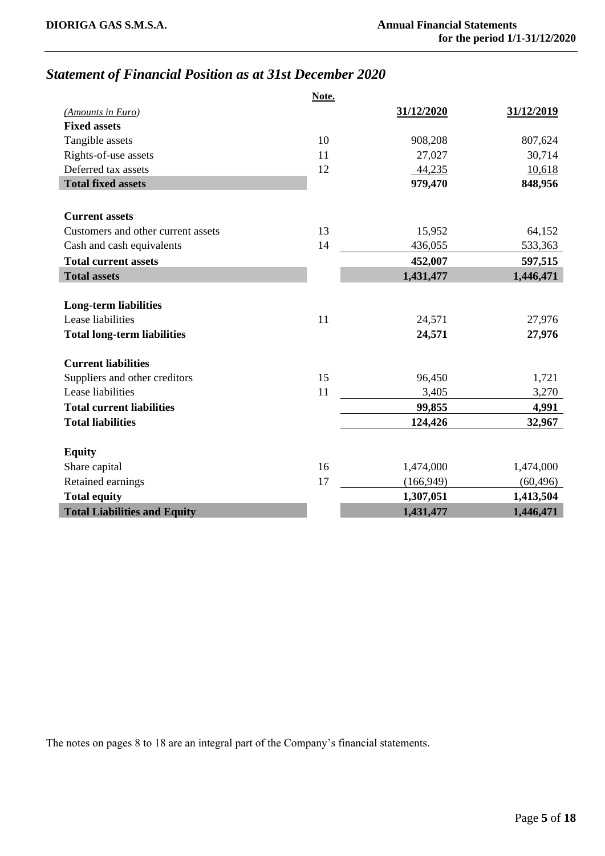# *Statement of Financial Position as at 31st December 2020*

|                                     | Note. |            |            |
|-------------------------------------|-------|------------|------------|
| (Amounts in Euro)                   |       | 31/12/2020 | 31/12/2019 |
| <b>Fixed assets</b>                 |       |            |            |
| Tangible assets                     | 10    | 908,208    | 807,624    |
| Rights-of-use assets                | 11    | 27,027     | 30,714     |
| Deferred tax assets                 | 12    | 44,235     | 10,618     |
| <b>Total fixed assets</b>           |       | 979,470    | 848,956    |
|                                     |       |            |            |
| <b>Current assets</b>               |       |            |            |
| Customers and other current assets  | 13    | 15,952     | 64,152     |
| Cash and cash equivalents           | 14    | 436,055    | 533,363    |
| <b>Total current assets</b>         |       | 452,007    | 597,515    |
| <b>Total assets</b>                 |       | 1,431,477  | 1,446,471  |
|                                     |       |            |            |
| <b>Long-term liabilities</b>        |       |            |            |
| Lease liabilities                   | 11    | 24,571     | 27,976     |
| <b>Total long-term liabilities</b>  |       | 24,571     | 27,976     |
|                                     |       |            |            |
| <b>Current liabilities</b>          |       |            |            |
| Suppliers and other creditors       | 15    | 96,450     | 1,721      |
| Lease liabilities                   | 11    | 3,405      | 3,270      |
| <b>Total current liabilities</b>    |       | 99,855     | 4,991      |
| <b>Total liabilities</b>            |       | 124,426    | 32,967     |
|                                     |       |            |            |
| <b>Equity</b>                       |       |            |            |
| Share capital                       | 16    | 1,474,000  | 1,474,000  |
| Retained earnings                   | 17    | (166, 949) | (60, 496)  |
| <b>Total equity</b>                 |       | 1,307,051  | 1,413,504  |
| <b>Total Liabilities and Equity</b> |       | 1,431,477  | 1,446,471  |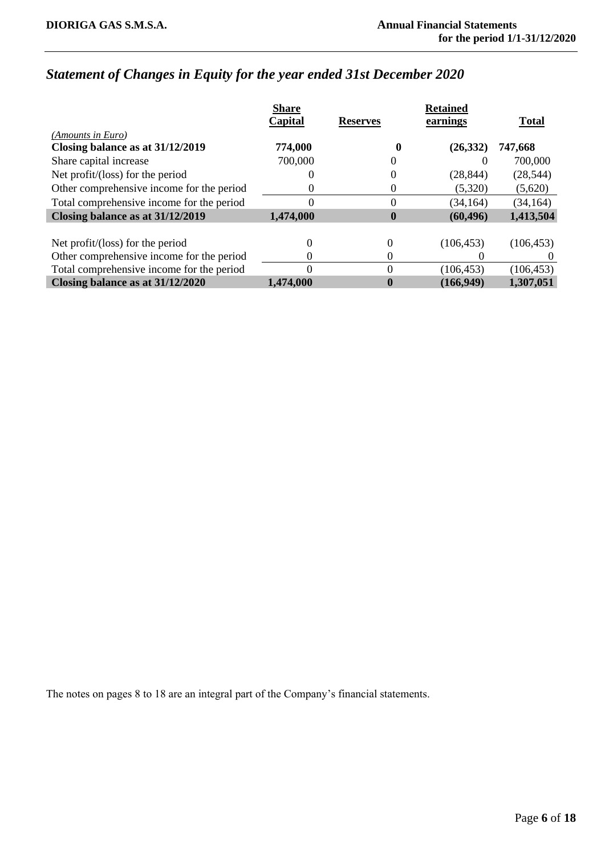# <span id="page-5-0"></span>*Statement of Changes in Equity for the year ended 31st December 2020*

|                                           | <b>Share</b> |                 | <b>Retained</b> |              |
|-------------------------------------------|--------------|-----------------|-----------------|--------------|
|                                           | Capital      | <b>Reserves</b> | earnings        | <b>Total</b> |
| (Amounts in Euro)                         |              |                 |                 |              |
| Closing balance as at 31/12/2019          | 774,000      |                 | (26, 332)       | 747,668      |
| Share capital increase                    | 700,000      |                 |                 | 700,000      |
| Net profit/(loss) for the period          |              | 0               | (28, 844)       | (28, 544)    |
| Other comprehensive income for the period | 0            | $_{0}$          | (5,320)         | (5,620)      |
| Total comprehensive income for the period | 0            | 0               | (34, 164)       | (34, 164)    |
| Closing balance as at 31/12/2019          | 1,474,000    | $\bf{0}$        | (60, 496)       | 1,413,504    |
|                                           |              |                 |                 |              |
| Net profit/(loss) for the period          |              | 0               | (106, 453)      | (106, 453)   |
| Other comprehensive income for the period |              |                 |                 |              |
| Total comprehensive income for the period |              | 0               | (106, 453)      | (106, 453)   |
| Closing balance as at 31/12/2020          | 1,474,000    |                 | (166, 949)      | 1,307,051    |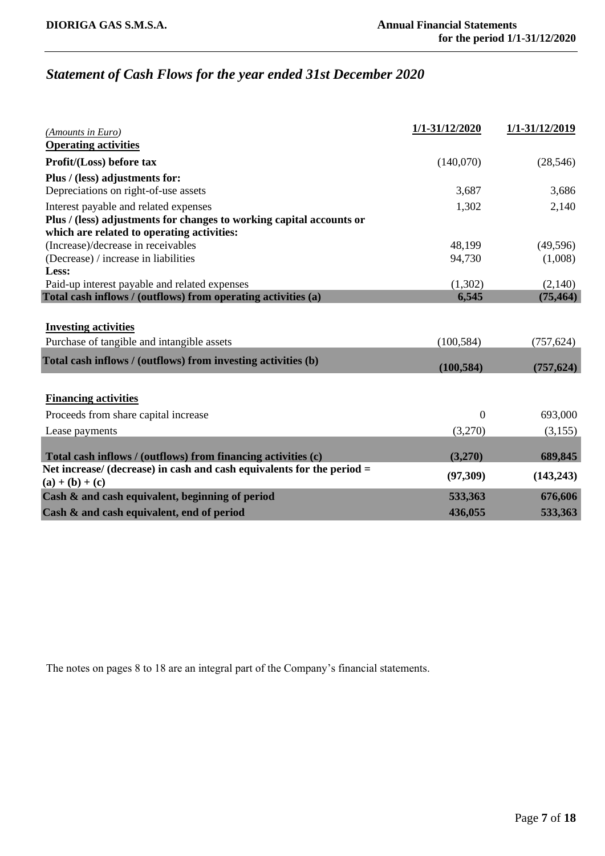# <span id="page-6-0"></span>*Statement of Cash Flows for the year ended 31st December 2020*

| (Amounts in Euro)                                                                             | 1/1-31/12/2020 | 1/1-31/12/2019 |
|-----------------------------------------------------------------------------------------------|----------------|----------------|
| <b>Operating activities</b>                                                                   |                |                |
| Profit/(Loss) before tax                                                                      | (140,070)      | (28, 546)      |
| Plus / (less) adjustments for:                                                                |                |                |
| Depreciations on right-of-use assets                                                          | 3,687          | 3,686          |
| Interest payable and related expenses                                                         | 1,302          | 2,140          |
| Plus / (less) adjustments for changes to working capital accounts or                          |                |                |
| which are related to operating activities:                                                    |                |                |
| (Increase)/decrease in receivables                                                            | 48,199         | (49, 596)      |
| (Decrease) / increase in liabilities                                                          | 94,730         | (1,008)        |
| Less:                                                                                         |                |                |
| Paid-up interest payable and related expenses                                                 | (1,302)        | (2,140)        |
| Total cash inflows / (outflows) from operating activities (a)                                 | 6,545          | (75, 464)      |
|                                                                                               |                |                |
| <b>Investing activities</b>                                                                   |                |                |
| Purchase of tangible and intangible assets                                                    | (100, 584)     | (757, 624)     |
| Total cash inflows / (outflows) from investing activities (b)                                 |                |                |
|                                                                                               | (100, 584)     | (757, 624)     |
|                                                                                               |                |                |
| <b>Financing activities</b>                                                                   |                |                |
| Proceeds from share capital increase                                                          | $\overline{0}$ | 693,000        |
| Lease payments                                                                                | (3,270)        | (3,155)        |
|                                                                                               |                |                |
| Total cash inflows / (outflows) from financing activities (c)                                 | (3,270)        | 689,845        |
| Net increase/ (decrease) in cash and cash equivalents for the period $=$<br>$(a) + (b) + (c)$ | (97, 309)      | (143, 243)     |
| Cash & and cash equivalent, beginning of period                                               | 533,363        | 676,606        |
| Cash & and cash equivalent, end of period                                                     | 436,055        | 533,363        |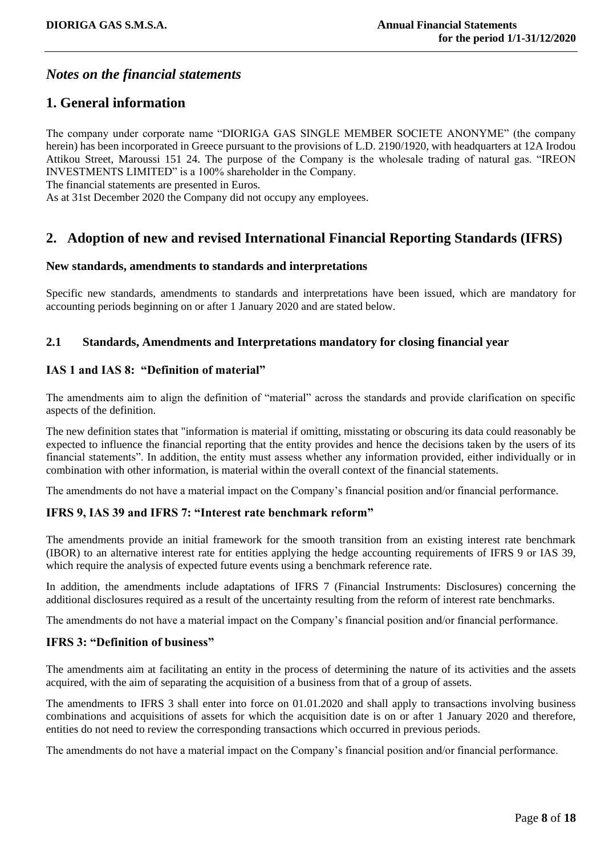### *Notes on the financial statements*

#### <span id="page-7-0"></span>**1. General information**

The company under corporate name "DIORIGA GAS SINGLE MEMBER SOCIETE ANONYME" (the company herein) has been incorporated in Greece pursuant to the provisions of L.D. 2190/1920, with headquarters at 12A Irodou Attikou Street, Maroussi 151 24. The purpose of the Company is the wholesale trading of natural gas. "IREON INVESTMENTS LIMITED" is a 100% shareholder in the Company.

The financial statements are presented in Euros.

As at 31st December 2020 the Company did not occupy any employees.

### <span id="page-7-1"></span>**2. Adoption of new and revised International Financial Reporting Standards (IFRS)**

#### **New standards, amendments to standards and interpretations**

Specific new standards, amendments to standards and interpretations have been issued, which are mandatory for accounting periods beginning on or after 1 January 2020 and are stated below.

#### **2.1 Standards, Amendments and Interpretations mandatory for closing financial year**

#### **IAS 1 and IAS 8: "Definition of material"**

The amendments aim to align the definition of "material" across the standards and provide clarification on specific aspects of the definition.

The new definition states that "information is material if omitting, misstating or obscuring its data could reasonably be expected to influence the financial reporting that the entity provides and hence the decisions taken by the users of its financial statements". In addition, the entity must assess whether any information provided, either individually or in combination with other information, is material within the overall context of the financial statements.

The amendments do not have a material impact on the Company's financial position and/or financial performance.

#### **IFRS 9, IAS 39 and IFRS 7: "Interest rate benchmark reform"**

The amendments provide an initial framework for the smooth transition from an existing interest rate benchmark (IBOR) to an alternative interest rate for entities applying the hedge accounting requirements of IFRS 9 or IAS 39, which require the analysis of expected future events using a benchmark reference rate.

In addition, the amendments include adaptations of IFRS 7 (Financial Instruments: Disclosures) concerning the additional disclosures required as a result of the uncertainty resulting from the reform of interest rate benchmarks.

The amendments do not have a material impact on the Company's financial position and/or financial performance.

#### **IFRS 3: "Definition of business"**

The amendments aim at facilitating an entity in the process of determining the nature of its activities and the assets acquired, with the aim of separating the acquisition of a business from that of a group of assets.

The amendments to IFRS 3 shall enter into force on 01.01.2020 and shall apply to transactions involving business combinations and acquisitions of assets for which the acquisition date is on or after 1 January 2020 and therefore, entities do not need to review the corresponding transactions which occurred in previous periods.

The amendments do not have a material impact on the Company's financial position and/or financial performance.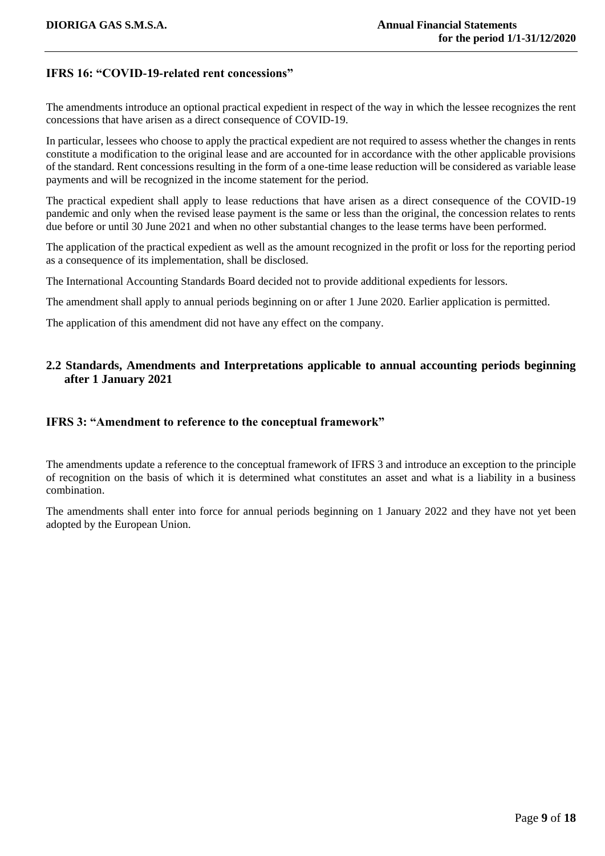#### **IFRS 16: "COVID-19-related rent concessions"**

The amendments introduce an optional practical expedient in respect of the way in which the lessee recognizes the rent concessions that have arisen as a direct consequence of COVID-19.

In particular, lessees who choose to apply the practical expedient are not required to assess whether the changes in rents constitute a modification to the original lease and are accounted for in accordance with the other applicable provisions of the standard. Rent concessions resulting in the form of a one-time lease reduction will be considered as variable lease payments and will be recognized in the income statement for the period.

The practical expedient shall apply to lease reductions that have arisen as a direct consequence of the COVID-19 pandemic and only when the revised lease payment is the same or less than the original, the concession relates to rents due before or until 30 June 2021 and when no other substantial changes to the lease terms have been performed.

The application of the practical expedient as well as the amount recognized in the profit or loss for the reporting period as a consequence of its implementation, shall be disclosed.

The International Accounting Standards Board decided not to provide additional expedients for lessors.

The amendment shall apply to annual periods beginning on or after 1 June 2020. Earlier application is permitted.

The application of this amendment did not have any effect on the company.

#### **2.2 Standards, Amendments and Interpretations applicable to annual accounting periods beginning after 1 January 2021**

#### **IFRS 3: "Amendment to reference to the conceptual framework"**

The amendments update a reference to the conceptual framework of IFRS 3 and introduce an exception to the principle of recognition on the basis of which it is determined what constitutes an asset and what is a liability in a business combination.

The amendments shall enter into force for annual periods beginning on 1 January 2022 and they have not yet been adopted by the European Union.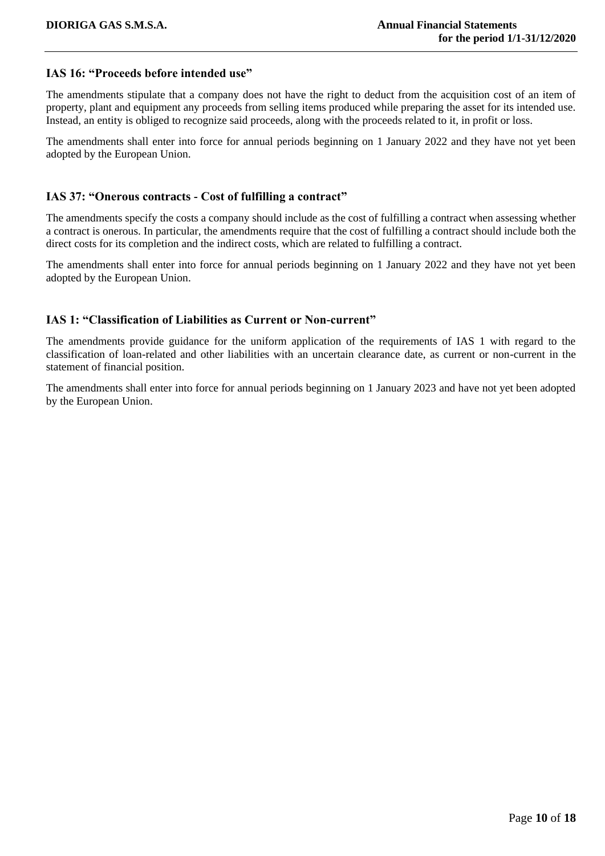#### **IAS 16: "Proceeds before intended use"**

The amendments stipulate that a company does not have the right to deduct from the acquisition cost of an item of property, plant and equipment any proceeds from selling items produced while preparing the asset for its intended use. Instead, an entity is obliged to recognize said proceeds, along with the proceeds related to it, in profit or loss.

The amendments shall enter into force for annual periods beginning on 1 January 2022 and they have not yet been adopted by the European Union.

#### **IAS 37: "Onerous contracts - Cost of fulfilling a contract"**

The amendments specify the costs a company should include as the cost of fulfilling a contract when assessing whether a contract is onerous. In particular, the amendments require that the cost of fulfilling a contract should include both the direct costs for its completion and the indirect costs, which are related to fulfilling a contract.

The amendments shall enter into force for annual periods beginning on 1 January 2022 and they have not yet been adopted by the European Union.

#### **IAS 1: "Classification of Liabilities as Current or Non-current"**

The amendments provide guidance for the uniform application of the requirements of IAS 1 with regard to the classification of loan-related and other liabilities with an uncertain clearance date, as current or non-current in the statement of financial position.

The amendments shall enter into force for annual periods beginning on 1 January 2023 and have not yet been adopted by the European Union.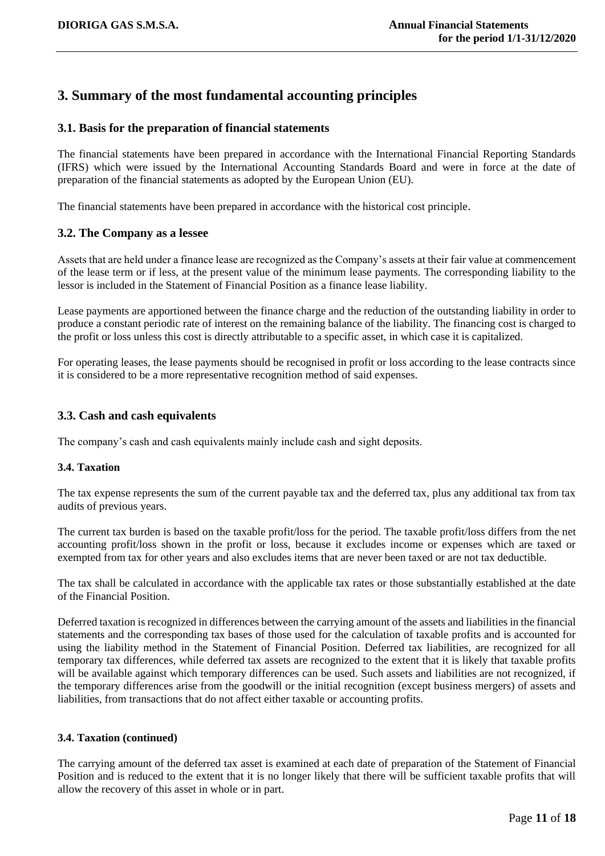# <span id="page-10-0"></span>**3. Summary of the most fundamental accounting principles**

#### **3.1. Basis for the preparation of financial statements**

The financial statements have been prepared in accordance with the International Financial Reporting Standards (IFRS) which were issued by the International Accounting Standards Board and were in force at the date of preparation of the financial statements as adopted by the European Union (EU).

The financial statements have been prepared in accordance with the historical cost principle.

#### **3.2. The Company as a lessee**

Assets that are held under a finance lease are recognized as the Company's assets at their fair value at commencement of the lease term or if less, at the present value of the minimum lease payments. The corresponding liability to the lessor is included in the Statement of Financial Position as a finance lease liability.

Lease payments are apportioned between the finance charge and the reduction of the outstanding liability in order to produce a constant periodic rate of interest on the remaining balance of the liability. The financing cost is charged to the profit or loss unless this cost is directly attributable to a specific asset, in which case it is capitalized.

For operating leases, the lease payments should be recognised in profit or loss according to the lease contracts since it is considered to be a more representative recognition method of said expenses.

#### **3.3. Cash and cash equivalents**

The company's cash and cash equivalents mainly include cash and sight deposits.

#### **3.4. Taxation**

The tax expense represents the sum of the current payable tax and the deferred tax, plus any additional tax from tax audits of previous years.

The current tax burden is based on the taxable profit/loss for the period. The taxable profit/loss differs from the net accounting profit/loss shown in the profit or loss, because it excludes income or expenses which are taxed or exempted from tax for other years and also excludes items that are never been taxed or are not tax deductible.

The tax shall be calculated in accordance with the applicable tax rates or those substantially established at the date of the Financial Position.

Deferred taxation is recognized in differences between the carrying amount of the assets and liabilities in the financial statements and the corresponding tax bases of those used for the calculation of taxable profits and is accounted for using the liability method in the Statement of Financial Position. Deferred tax liabilities, are recognized for all temporary tax differences, while deferred tax assets are recognized to the extent that it is likely that taxable profits will be available against which temporary differences can be used. Such assets and liabilities are not recognized, if the temporary differences arise from the goodwill or the initial recognition (except business mergers) of assets and liabilities, from transactions that do not affect either taxable or accounting profits.

#### **3.4. Taxation (continued)**

The carrying amount of the deferred tax asset is examined at each date of preparation of the Statement of Financial Position and is reduced to the extent that it is no longer likely that there will be sufficient taxable profits that will allow the recovery of this asset in whole or in part.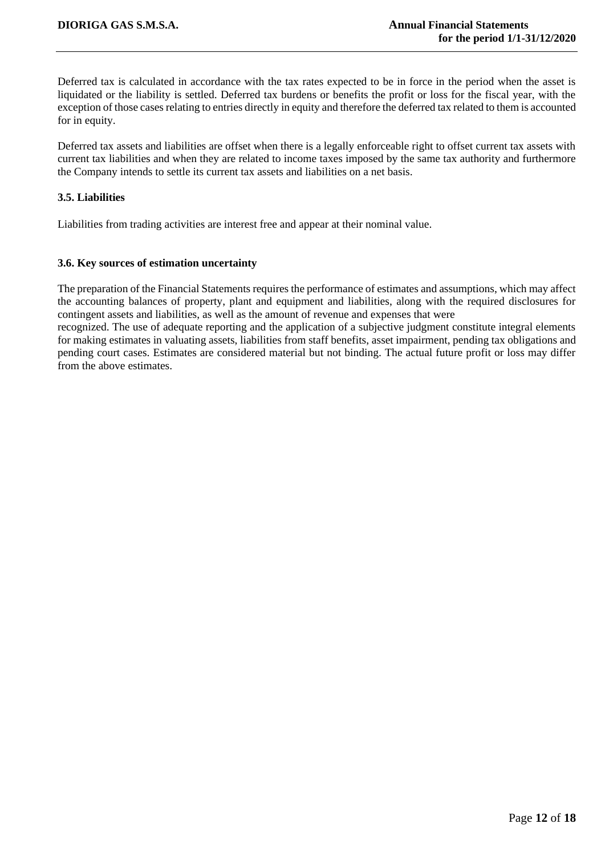Deferred tax is calculated in accordance with the tax rates expected to be in force in the period when the asset is liquidated or the liability is settled. Deferred tax burdens or benefits the profit or loss for the fiscal year, with the exception of those cases relating to entries directly in equity and therefore the deferred tax related to them is accounted for in equity.

Deferred tax assets and liabilities are offset when there is a legally enforceable right to offset current tax assets with current tax liabilities and when they are related to income taxes imposed by the same tax authority and furthermore the Company intends to settle its current tax assets and liabilities on a net basis.

#### **3.5. Liabilities**

Liabilities from trading activities are interest free and appear at their nominal value.

#### **3.6. Key sources of estimation uncertainty**

The preparation of the Financial Statements requires the performance of estimates and assumptions, which may affect the accounting balances of property, plant and equipment and liabilities, along with the required disclosures for contingent assets and liabilities, as well as the amount of revenue and expenses that were

<span id="page-11-0"></span>recognized. The use of adequate reporting and the application of a subjective judgment constitute integral elements for making estimates in valuating assets, liabilities from staff benefits, asset impairment, pending tax obligations and pending court cases. Estimates are considered material but not binding. The actual future profit or loss may differ from the above estimates.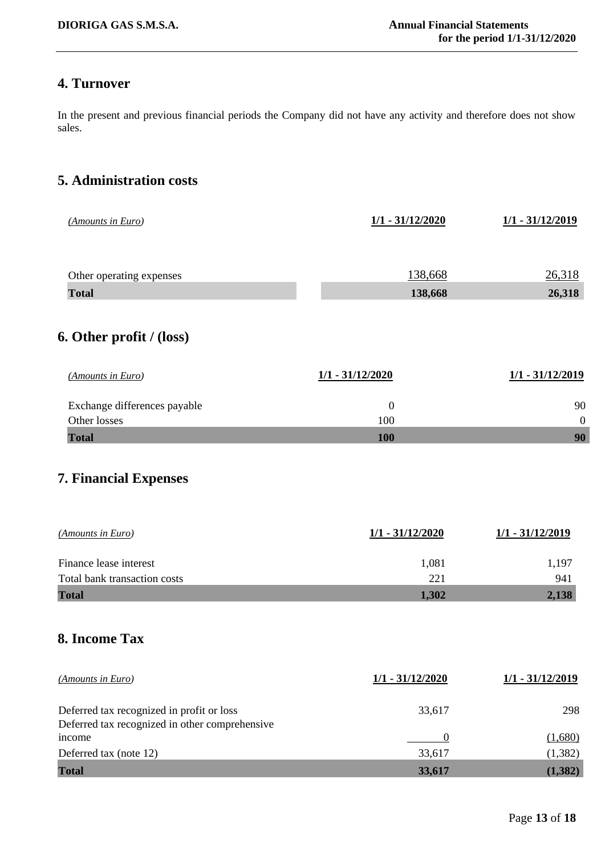# **4. Turnover**

In the present and previous financial periods the Company did not have any activity and therefore does not show sales.

# <span id="page-12-0"></span>**5. Administration costs**

<span id="page-12-2"></span><span id="page-12-1"></span>

| (Amounts in Euro)                                                                           | $1/1 - 31/12/2020$      | 1/1 - 31/12/2019       |
|---------------------------------------------------------------------------------------------|-------------------------|------------------------|
| Other operating expenses                                                                    | 138,668                 | 26,318                 |
| <b>Total</b>                                                                                | 138,668                 | 26,318                 |
| 6. Other profit $/$ (loss)                                                                  |                         |                        |
| (Amounts in Euro)                                                                           | 1/1 - 31/12/2020        | 1/1 - 31/12/2019       |
| Exchange differences payable<br>Other losses                                                | $\boldsymbol{0}$<br>100 | 90<br>$\boldsymbol{0}$ |
| <b>Total</b>                                                                                | 100                     | 90                     |
| (Amounts in Euro)                                                                           | 1/1 - 31/12/2020        | 1/1 - 31/12/2019       |
| Finance lease interest                                                                      | 1,081                   | 1,197                  |
| Total bank transaction costs<br><b>Total</b>                                                | 221<br>1,302            | 941<br>2,138           |
| 8. Income Tax                                                                               |                         |                        |
| (Amounts in Euro)                                                                           |                         |                        |
|                                                                                             | $1/1 - 31/12/2020$      | $1/1 - 31/12/2019$     |
| Deferred tax recognized in profit or loss<br>Deferred tax recognized in other comprehensive | 33,617                  | 298                    |

<span id="page-12-3"></span>Deferred tax (note 12) 33,617 (1,382) **Total 33,617 (1,382)**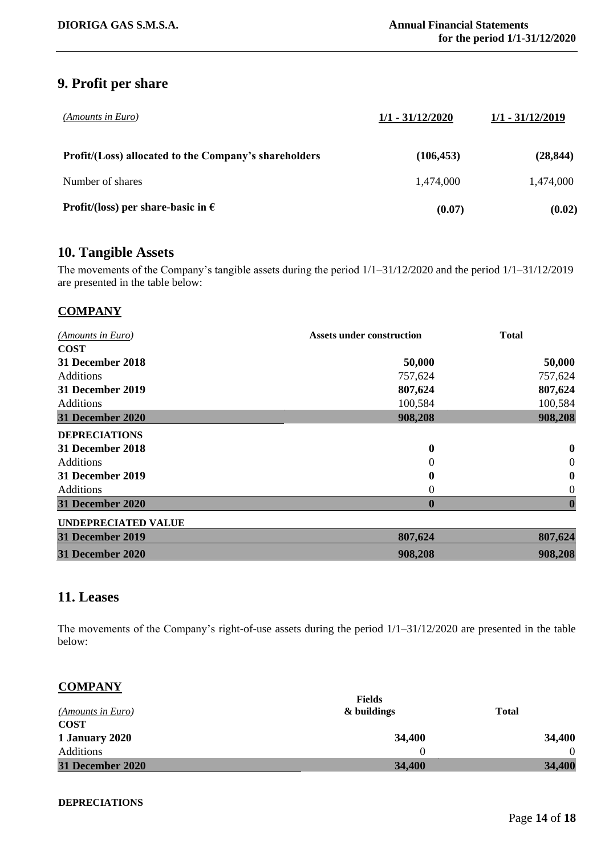# <span id="page-13-0"></span>**9. Profit per share**

| (Amounts in Euro)                                     | $1/1 - 31/12/2020$ | $1/1 - 31/12/2019$ |
|-------------------------------------------------------|--------------------|--------------------|
| Profit/(Loss) allocated to the Company's shareholders | (106, 453)         | (28, 844)          |
| Number of shares                                      | 1,474,000          | 1,474,000          |
| <b>Profit/(loss)</b> per share-basic in $\epsilon$    | (0.07)             | (0.02)             |

#### <span id="page-13-1"></span>**10. Tangible Assets**

The movements of the Company's tangible assets during the period 1/1–31/12/2020 and the period 1/1–31/12/2019 are presented in the table below:

#### **COMPANY**

| (Amounts in Euro)          | <b>Assets under construction</b> | <b>Total</b>     |
|----------------------------|----------------------------------|------------------|
| <b>COST</b>                |                                  |                  |
| 31 December 2018           | 50,000                           | 50,000           |
| <b>Additions</b>           | 757,624                          | 757,624          |
| 31 December 2019           | 807,624                          | 807,624          |
| <b>Additions</b>           | 100,584                          | 100,584          |
| <b>31 December 2020</b>    | 908,208                          | 908,208          |
| <b>DEPRECIATIONS</b>       |                                  |                  |
| 31 December 2018           | $\bf{0}$                         | $\bf{0}$         |
| <b>Additions</b>           | 0                                | $\overline{0}$   |
| 31 December 2019           | $\mathbf 0$                      | $\boldsymbol{0}$ |
| Additions                  | $\theta$                         | $\boldsymbol{0}$ |
| <b>31 December 2020</b>    | $\boldsymbol{0}$                 | $\boldsymbol{0}$ |
| <b>UNDEPRECIATED VALUE</b> |                                  |                  |
| <b>31 December 2019</b>    | 807,624                          | 807,624          |
| 31 December 2020           | 908,208                          | 908,208          |

### <span id="page-13-2"></span>**11. Leases**

The movements of the Company's right-of-use assets during the period 1/1–31/12/2020 are presented in the table below:

#### **COMPANY**

|                         | <b>Fields</b> |              |
|-------------------------|---------------|--------------|
| (Amounts in Euro)       | & buildings   | <b>Total</b> |
| <b>COST</b>             |               |              |
| 1 January 2020          | 34,400        | 34,400       |
| Additions               |               |              |
| <b>31 December 2020</b> | 34,400        | 34,400       |

#### **DEPRECIATIONS**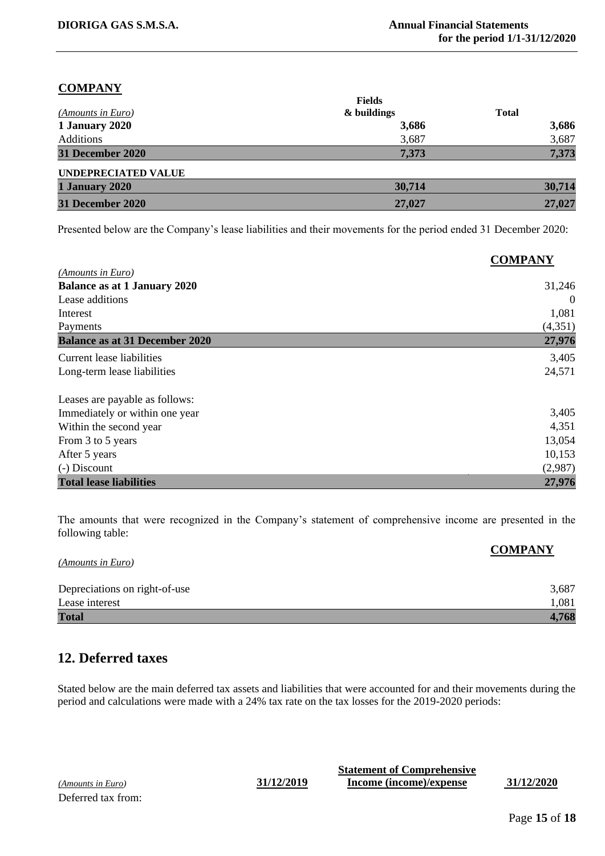#### **COMPANY**

|                            | <b>Fields</b> |              |
|----------------------------|---------------|--------------|
| (Amounts in Euro)          | & buildings   | <b>Total</b> |
| 1 January 2020             | 3,686         | 3,686        |
| Additions                  | 3,687         | 3,687        |
| 31 December 2020           | 7,373         | 7,373        |
| <b>UNDEPRECIATED VALUE</b> |               |              |
| 1 January 2020             | 30,714        | 30,714       |
| 31 December 2020           | 27,027        | 27,027       |

Presented below are the Company's lease liabilities and their movements for the period ended 31 December 2020:

|                                       | <b>COMPANY</b> |
|---------------------------------------|----------------|
| (Amounts in Euro)                     |                |
| <b>Balance as at 1 January 2020</b>   | 31,246         |
| Lease additions                       | $\theta$       |
| Interest                              | 1,081          |
| Payments                              | (4,351)        |
| <b>Balance as at 31 December 2020</b> | 27,976         |
| Current lease liabilities             | 3,405          |
| Long-term lease liabilities           | 24,571         |
| Leases are payable as follows:        |                |
| Immediately or within one year        | 3,405          |
| Within the second year                | 4,351          |
| From 3 to 5 years                     | 13,054         |
| After 5 years                         | 10,153         |
| (-) Discount                          | (2,987)        |
| <b>Total lease liabilities</b>        | 27,976         |

The amounts that were recognized in the Company's statement of comprehensive income are presented in the following table:

|                               | <b>COMPANY</b> |
|-------------------------------|----------------|
| (Amounts in Euro)             |                |
| Depreciations on right-of-use | 3,687          |
| Lease interest                | 1,081          |
| <b>Total</b>                  | 4,768          |

# <span id="page-14-0"></span>**12. Deferred taxes**

Stated below are the main deferred tax assets and liabilities that were accounted for and their movements during the period and calculations were made with a 24% tax rate on the tax losses for the 2019-2020 periods:

*(Amounts in Euro)* **31/12/2019** Deferred tax from:

| <b>Statement of Comprehensive</b> |            |
|-----------------------------------|------------|
| Income (income)/expense           | 31/12/2020 |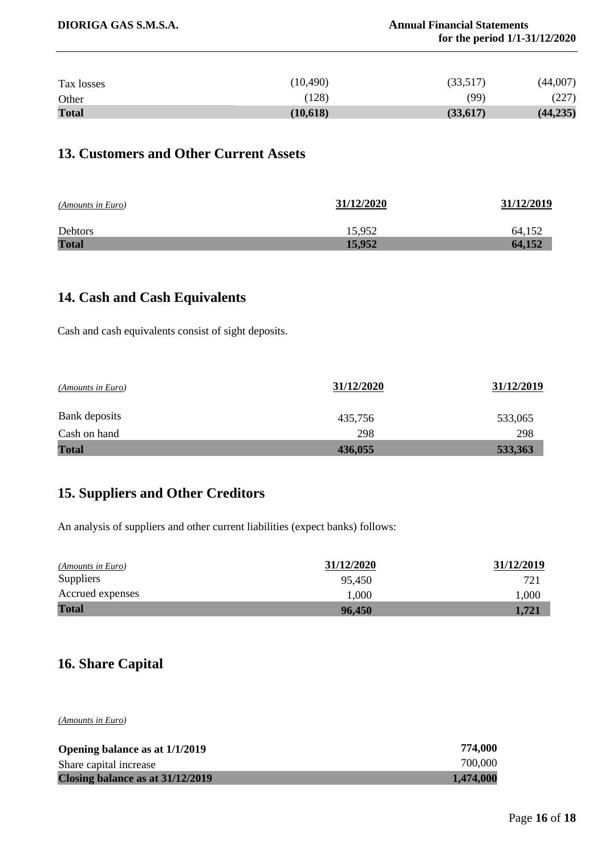| <b>Total</b> | (10,618)  | (33, 617) | (44, 235) |
|--------------|-----------|-----------|-----------|
| Other        | (128)     | (99)      | (227)     |
| Tax losses   | (10, 490) | (33,517)  | (44,007)  |

# <span id="page-15-0"></span>**13. Customers and Other Current Assets**

| (Amounts in Euro) | 31/12/2020 | 31/12/2019 |
|-------------------|------------|------------|
| Debtors           | 15,952     | 64.152     |
| <b>Total</b>      | 15,952     | 64,152     |

# <span id="page-15-1"></span>**14. Cash and Cash Equivalents**

Cash and cash equivalents consist of sight deposits.

| (Amounts in Euro) | 31/12/2020 | 31/12/2019 |
|-------------------|------------|------------|
| Bank deposits     | 435,756    | 533,065    |
| Cash on hand      | 298        | 298        |
| <b>Total</b>      | 436,055    | 533,363    |

# <span id="page-15-2"></span>**15. Suppliers and Other Creditors**

An analysis of suppliers and other current liabilities (expect banks) follows:

| (Amounts in Euro) | 31/12/2020 | 31/12/2019 |
|-------------------|------------|------------|
| <b>Suppliers</b>  | 95,450     | 721        |
| Accrued expenses  | 1.000      | 1,000      |
| <b>Total</b>      | 96,450     | 1.721      |

# <span id="page-15-3"></span>**16. Share Capital**

*(Amounts in Euro)*

| Opening balance as at 1/1/2019   | 774,000   |
|----------------------------------|-----------|
| Share capital increase           | 700,000   |
| Closing balance as at 31/12/2019 | 1,474,000 |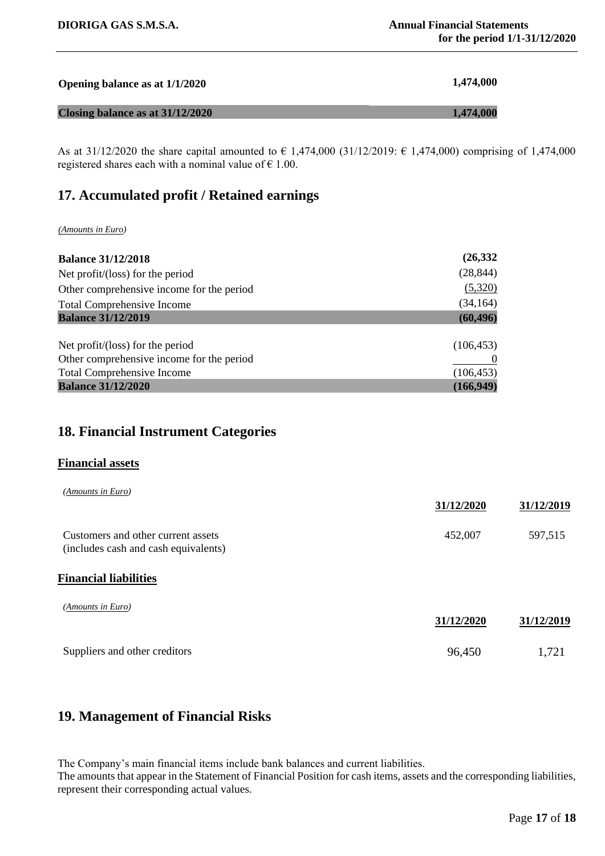| Opening balance as at 1/1/2020   | 1,474,000 |
|----------------------------------|-----------|
| Closing balance as at 31/12/2020 | 1.474,000 |

As at 31/12/2020 the share capital amounted to  $\epsilon$  1,474,000 (31/12/2019:  $\epsilon$  1,474,000) comprising of 1,474,000 registered shares each with a nominal value of  $\epsilon$  1.00.

## <span id="page-16-0"></span>**17. Accumulated profit / Retained earnings**

#### *(Amounts in Euro)*

| <b>Balance 31/12/2018</b>                 | (26, 332)  |
|-------------------------------------------|------------|
| Net profit/(loss) for the period          | (28, 844)  |
| Other comprehensive income for the period | (5,320)    |
| <b>Total Comprehensive Income</b>         | (34, 164)  |
| <b>Balance 31/12/2019</b>                 | (60, 496)  |
|                                           |            |
| Net profit/(loss) for the period          | (106, 453) |
| Other comprehensive income for the period |            |
| <b>Total Comprehensive Income</b>         | (106, 453) |
| <b>Balance 31/12/2020</b>                 | (166, 949) |

# <span id="page-16-1"></span>**18. Financial Instrument Categories**

#### **Financial assets**

| (Amounts in Euro)                                                          | 31/12/2020 | 31/12/2019 |
|----------------------------------------------------------------------------|------------|------------|
| Customers and other current assets<br>(includes cash and cash equivalents) | 452,007    | 597,515    |
| <b>Financial liabilities</b>                                               |            |            |
| (Amounts in Euro)                                                          | 31/12/2020 | 31/12/2019 |
| Suppliers and other creditors                                              | 96,450     | 1,721      |

#### <span id="page-16-2"></span>**19. Management of Financial Risks**

The Company's main financial items include bank balances and current liabilities.

The amounts that appear in the Statement of Financial Position for cash items, assets and the corresponding liabilities, represent their corresponding actual values.